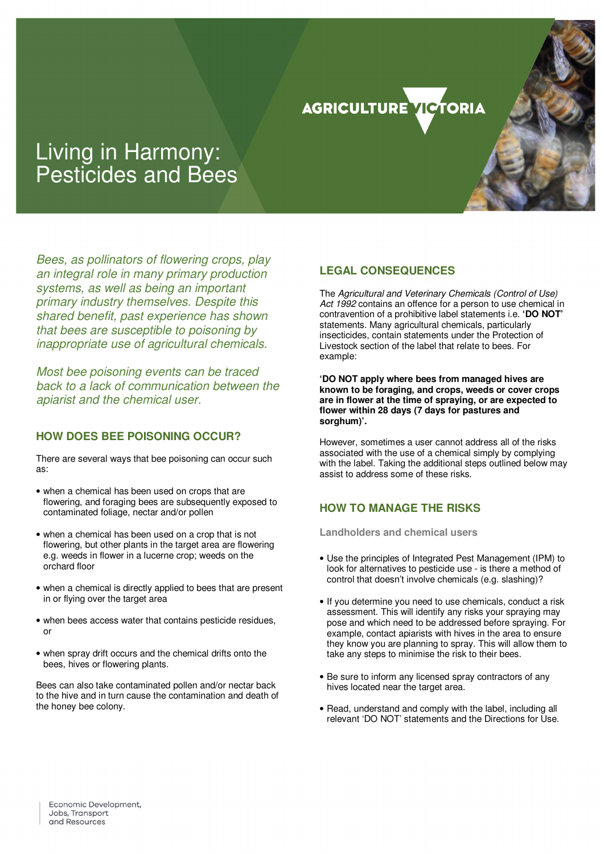#### **AGRICULTURE TIGTORIA**

# Living in Harmony: Pesticides and Bees

Bees, as pollinators of flowering crops, play an integral role in many primary production systems, as well as being an important primary industry themselves. Despite this shared benefit, past experience has shown that bees are susceptible to poisoning by inappropriate use of agricultural chemicals.

Most bee poisoning events can be traced back to a lack of communication between the apiarist and the chemical user.

### **HOW DOES BEE POISONING OCCUR?**

There are several ways that bee poisoning can occur such as:

- when a chemical has been used on crops that are flowering, and foraging bees are subsequently exposed to contaminated foliage, nectar and/or pollen
- when a chemical has been used on a crop that is not flowering, but other plants in the target area are flowering e.g. weeds in flower in a lucerne crop; weeds on the orchard floor
- when a chemical is directly applied to bees that are present in or flying over the target area
- when bees access water that contains pesticide residues, or
- when spray drift occurs and the chemical drifts onto the bees, hives or flowering plants.

Bees can also take contaminated pollen and/or nectar back to the hive and in turn cause the contamination and death of the honey bee colony.

# **LEGAL CONSEQUENCES**

The Agricultural and Veterinary Chemicals (Control of Use) Act 1992 contains an offence for a person to use chemical in contravention of a prohibitive label statements i.e. **'DO NOT'**  statements. Many agricultural chemicals, particularly insecticides, contain statements under the Protection of Livestock section of the label that relate to bees. For example:

**'DO NOT apply where bees from managed hives are known to be foraging, and crops, weeds or cover crops are in flower at the time of spraying, or are expected to flower within 28 days (7 days for pastures and sorghum)'.** 

However, sometimes a user cannot address all of the risks associated with the use of a chemical simply by complying with the label. Taking the additional steps outlined below may assist to address some of these risks.

# **HOW TO MANAGE THE RISKS**

**Landholders and chemical users** 

- Use the principles of Integrated Pest Management (IPM) to look for alternatives to pesticide use - is there a method of control that doesn't involve chemicals (e.g. slashing)?
- If you determine you need to use chemicals, conduct a risk assessment. This will identify any risks your spraying may pose and which need to be addressed before spraying. For example, contact apiarists with hives in the area to ensure they know you are planning to spray. This will allow them to take any steps to minimise the risk to their bees.
- Be sure to inform any licensed spray contractors of any hives located near the target area.
- Read, understand and comply with the label, including all relevant 'DO NOT' statements and the Directions for Use.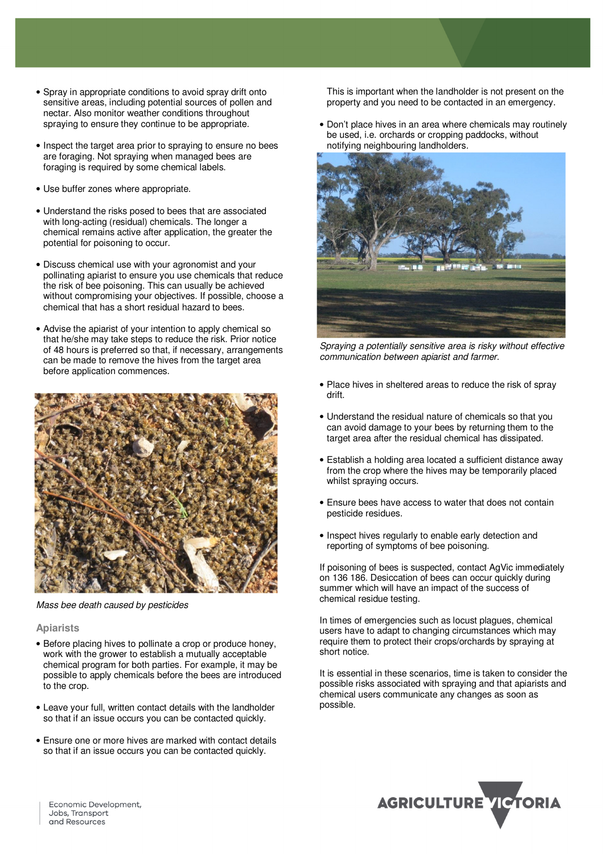- Spray in appropriate conditions to avoid spray drift onto sensitive areas, including potential sources of pollen and nectar. Also monitor weather conditions throughout spraying to ensure they continue to be appropriate.
- Inspect the target area prior to spraying to ensure no bees are foraging. Not spraying when managed bees are foraging is required by some chemical labels.
- Use buffer zones where appropriate.
- Understand the risks posed to bees that are associated with long-acting (residual) chemicals. The longer a chemical remains active after application, the greater the potential for poisoning to occur.
- Discuss chemical use with your agronomist and your pollinating apiarist to ensure you use chemicals that reduce the risk of bee poisoning. This can usually be achieved without compromising your objectives. If possible, choose a chemical that has a short residual hazard to bees.
- Advise the apiarist of your intention to apply chemical so that he/she may take steps to reduce the risk. Prior notice of 48 hours is preferred so that, if necessary, arrangements can be made to remove the hives from the target area before application commences.



Mass bee death caused by pesticides

#### **Apiarists**

- Before placing hives to pollinate a crop or produce honey, work with the grower to establish a mutually acceptable chemical program for both parties. For example, it may be possible to apply chemicals before the bees are introduced to the crop.
- Leave your full, written contact details with the landholder so that if an issue occurs you can be contacted quickly.
- Ensure one or more hives are marked with contact details so that if an issue occurs you can be contacted quickly.

This is important when the landholder is not present on the property and you need to be contacted in an emergency.

• Don't place hives in an area where chemicals may routinely be used, i.e. orchards or cropping paddocks, without notifying neighbouring landholders.



Spraying a potentially sensitive area is risky without effective communication between apiarist and farmer.

- Place hives in sheltered areas to reduce the risk of spray drift.
- Understand the residual nature of chemicals so that you can avoid damage to your bees by returning them to the target area after the residual chemical has dissipated.
- Establish a holding area located a sufficient distance away from the crop where the hives may be temporarily placed whilst spraying occurs.
- Ensure bees have access to water that does not contain pesticide residues.
- Inspect hives regularly to enable early detection and reporting of symptoms of bee poisoning.

If poisoning of bees is suspected, contact AgVic immediately on 136 186. Desiccation of bees can occur quickly during summer which will have an impact of the success of chemical residue testing.

In times of emergencies such as locust plagues, chemical users have to adapt to changing circumstances which may require them to protect their crops/orchards by spraying at short notice.

It is essential in these scenarios, time is taken to consider the possible risks associated with spraying and that apiarists and chemical users communicate any changes as soon as possible.